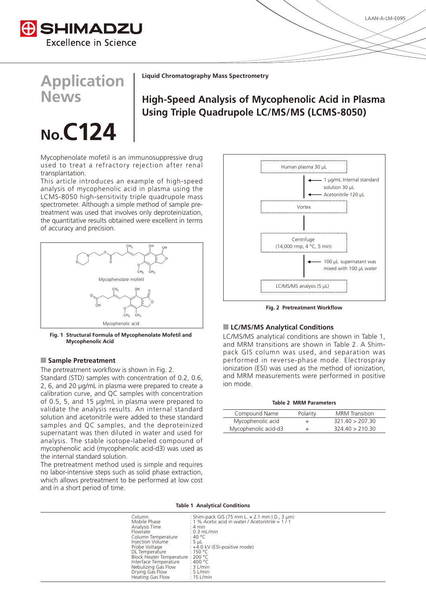

**Application News**

**No.C124** 

**Liquid Chromatography Mass Spectrometry** 

# **High-Speed Analysis of Mycophenolic Acid in Plasma** Using Triple Quadrupole LC/MS/MS (LCMS-8050)

# Mycophenolate mofetil is an immunosuppressive drug used to treat a refractory rejection after renal transplantation.

This article introduces an example of high-speed analysis of mycophenolic acid in plasma using the LCMS-8050 high-sensitivity triple quadrupole mass treatment was used that involves only deproteinization. spectrometer. Although a simple method of sample prethe quantitative results obtained were excellent in terms of accuracy and precision.



Fig. 1 Structural Formula of Mycophenolate Mofetil and **Mycophenolic Acid** 

# **Pretreatment**

The pretreatment workflow is shown in Fig. 2. Standard (STD) samples with concentration of 0.2, 0.6, 2, 6, and 20  $\mu$ g/mL in plasma were prepared to create a calibration curve, and QC samples with concentration of 0.5, 5, and 15  $\mu$ g/mL in plasma were prepared to validate the analysis results. An internal standard solution and acetonitrile were added to these standard samples and QC samples, and the deproteinized supernatant was then diluted in water and used for analysis. The stable isotope-labeled compound of mycophenolic acid (mycophenolic acid-d3) was used as the internal standard solution.

The pretreatment method used is simple and requires no labor-intensive steps such as solid phase extraction, which allows pretreatment to be performed at low cost and in a short period of time.



**Fig. 2 Pretreatment Workflow** 

### **ELC/MS/MS Analytical Conditions**

LC/MS/MS analytical conditions are shown in Table 1. and MRM transitions are shown in Table 2. A Shim-<br>pack GIS column was used, and separation was performed in reverse-phase mode. Electrospray ionization (ESI) was used as the method of ionization, and MRM measurements were performed in positive ion mode.

### **Table 2 MRM Parameters**

| Compound Name        | Polarity | <b>MRM</b> Transition |
|----------------------|----------|-----------------------|
| Mycophenolic acid    |          | 32140 > 20730         |
| Mycophenolic acid-d3 |          | 324.40 > 210.30       |

### **Table 1 Analytical Conditions**

| Column<br>Mobile Phase<br>Analysis Time<br>Flowrate<br>Column Temperature<br>Injection Volume<br>Probe Voltage<br>DL Temperature<br>Block Heater Temperature: 200 °C<br>Interface Temperature<br>Nebulizing Gas Flow<br>Drying Gas Flow<br>Heating Gas Flow | : Shim-pack GIS (75 mm L. $\times$ 2.1 mm I.D., 3 $\mu$ m)<br>: 1 % Acetic acid in water / Acetonitrile = $1/1$<br>$: 4 \text{ min}$<br>$: 0.3$ mL/min<br>: 40 °C<br>$:5$ µL<br>: +4.0 kV (ESI-positive mode)<br>$\div$ 150 °C.<br>: 400 °C<br>$:3$ L/min<br>$:5$ L/min<br>$: 15$ L/min |
|-------------------------------------------------------------------------------------------------------------------------------------------------------------------------------------------------------------------------------------------------------------|-----------------------------------------------------------------------------------------------------------------------------------------------------------------------------------------------------------------------------------------------------------------------------------------|
|                                                                                                                                                                                                                                                             |                                                                                                                                                                                                                                                                                         |